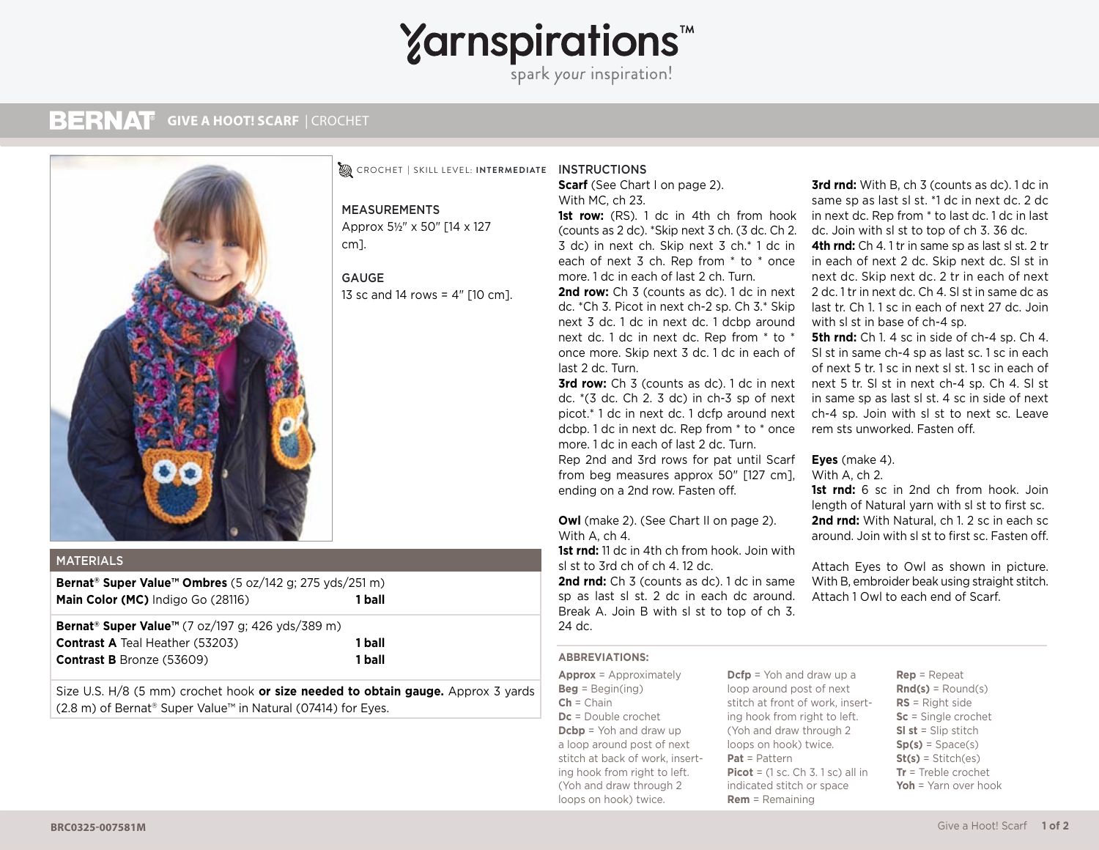# **Yarnspirations**

spark your inspiration!

#### **BERNAT GIVE A HOOT! SCARF | CROCHET**



# INSTRUCTIONS CROCHET **|** SKILL LEVEL: **INTERMEDIATE**

MEASUREMENTS Approx 5½" x 50" [14 x 127 cm].

### GAUGE

13 sc and 14 rows = 4" [10 cm].

# MATERIALS

**Bernat® Super Value™ Ombres** (5 oz/142 g; 275 yds/251 m) **Main Color (MC)** Indigo Go (28116) **1 ball**

**Bernat® Super Value™** (7 oz/197 g; 426 yds/389 m) **Contrast A** Teal Heather (53203) **1 ball Contrast B** Bronze (53609) **1 ball**

Size U.S. H/8 (5 mm) crochet hook **or size needed to obtain gauge.** Approx 3 yards (2.8 m) of Bernat® Super Value™ in Natural (07414) for Eyes.

**Scarf** (See Chart I on page 2). With MC, ch 23.

**1st row:** (RS). 1 dc in 4th ch from hook (counts as 2 dc). \*Skip next 3 ch. (3 dc. Ch 2. 3 dc) in next ch. Skip next 3 ch.\* 1 dc in each of next 3 ch. Rep from \* to \* once more. 1 dc in each of last 2 ch. Turn.

2nd row: Ch 3 (counts as dc). 1 dc in next dc. \*Ch 3. Picot in next ch-2 sp. Ch 3.\* Skip next 3 dc. 1 dc in next dc. 1 dcbp around next dc. 1 dc in next dc. Rep from \* to \* once more. Skip next 3 dc. 1 dc in each of last 2 dc. Turn.

**3rd row:** Ch 3 (counts as dc). 1 dc in next dc. \*(3 dc. Ch 2. 3 dc) in ch-3 sp of next picot.\* 1 dc in next dc. 1 dcfp around next dcbp. 1 dc in next dc. Rep from \* to \* once more. 1 dc in each of last 2 dc. Turn. Rep 2nd and 3rd rows for pat until Scarf from beg measures approx 50" [127 cm], ending on a 2nd row. Fasten off.

**Owl** (make 2). (See Chart II on page 2). With A, ch 4.

**1st rnd:** 11 dc in 4th ch from hook. Join with sl st to 3rd ch of ch 4. 12 dc. 2nd rnd: Ch 3 (counts as dc). 1 dc in same sp as last sl st. 2 dc in each dc around. Break A. Join B with sl st to top of ch 3. 24 dc.

## **ABBREVIATIONS:**

**Approx** = Approximately **Beg** = Begin(ing) **Ch** = Chain **Dc** = Double crochet **Dcbp** = Yoh and draw up a loop around post of next stitch at back of work, inserting hook from right to left. (Yoh and draw through 2 loops on hook) twice.

**Dcfp** = Yoh and draw up a loop around post of next stitch at front of work, inserting hook from right to left. (Yoh and draw through 2 loops on hook) twice. **Pat** = Pattern **Picot** = (1 sc. Ch 3. 1 sc) all in indicated stitch or space **Rem** = Remaining

**3rd rnd:** With B, ch 3 (counts as dc). 1 dc in same sp as last sl st. \*1 dc in next dc. 2 dc in next dc. Rep from \* to last dc. 1 dc in last dc. Join with sl st to top of ch 3. 36 dc. **4th rnd:** Ch 4. 1 tr in same sp as last sl st. 2 tr in each of next 2 dc. Skip next dc. Sl st in next dc. Skip next dc. 2 tr in each of next 2 dc. 1 tr in next dc. Ch 4. Sl st in same dc as last tr. Ch 1. 1 sc in each of next 27 dc. Join with sl st in base of ch-4 sp.

**5th rnd:** Ch 1. 4 sc in side of ch-4 sp. Ch 4. Sl st in same ch-4 sp as last sc. 1 sc in each of next 5 tr. 1 sc in next sl st. 1 sc in each of next 5 tr. Sl st in next ch-4 sp. Ch 4. Sl st in same sp as last sl st. 4 sc in side of next ch-4 sp. Join with sl st to next sc. Leave rem sts unworked. Fasten off.

# **Eyes** (make 4).

With A, ch 2.

1st rnd: 6 sc in 2nd ch from hook. Join length of Natural yarn with sl st to first sc. **2nd rnd:** With Natural, ch 1. 2 sc in each sc around. Join with sl st to first sc. Fasten off.

Attach Eyes to Owl as shown in picture. With B, embroider beak using straight stitch. Attach 1 Owl to each end of Scarf.

> **Rep** = Repeat **Rnd(s)** = Round(s) **RS** = Right side **Sc** = Single crochet **Sl st** = Slip stitch  $Sp(s) = Space(s)$ **St(s)** = Stitch(es) **Tr** = Treble crochet **Yoh** = Yarn over hook